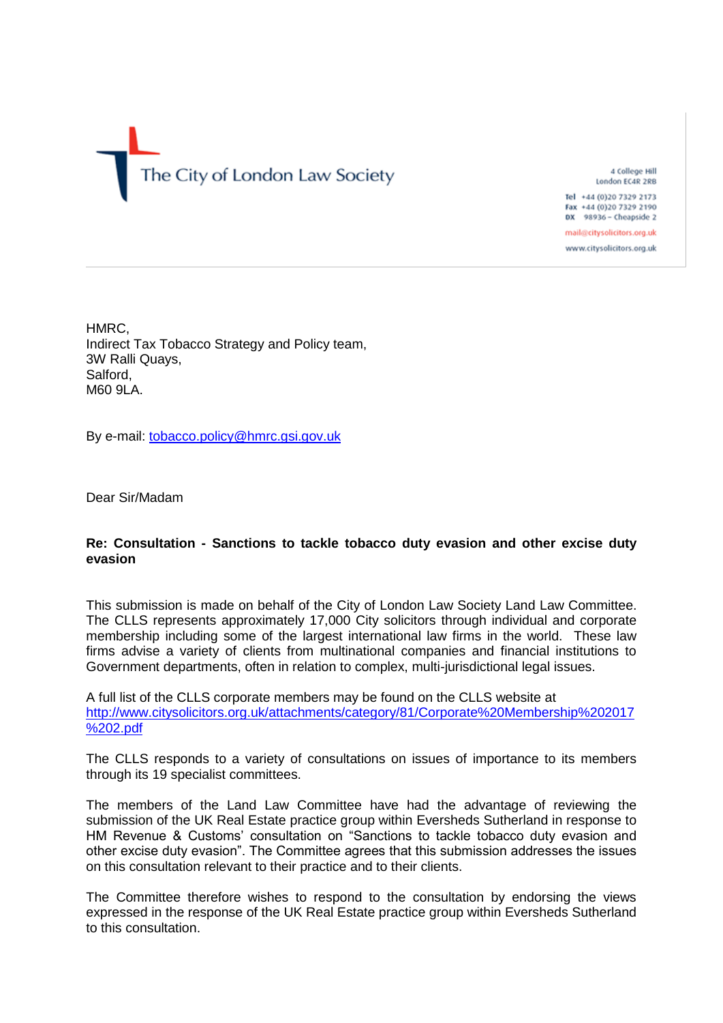# The City of London Law Society

4 College Hill London EC4R 2RB

Tel +44 (0)20 7329 2173 Fax +44 (0)20 7329 2190 DX 98936 - Cheapside 2

mail@citysolicitors.org.uk www.citysolicitors.org.uk

HMRC, Indirect Tax Tobacco Strategy and Policy team, 3W Ralli Quays, Salford, M60 9LA.

By e-mail: [tobacco.policy@hmrc.gsi.gov.uk](mailto:tobacco.policy@hmrc.gsi.gov.uk)

Dear Sir/Madam

## **Re: Consultation - Sanctions to tackle tobacco duty evasion and other excise duty evasion**

This submission is made on behalf of the City of London Law Society Land Law Committee. The CLLS represents approximately 17,000 City solicitors through individual and corporate membership including some of the largest international law firms in the world. These law firms advise a variety of clients from multinational companies and financial institutions to Government departments, often in relation to complex, multi-jurisdictional legal issues.

A full list of the CLLS corporate members may be found on the CLLS website at [http://www.citysolicitors.org.uk/attachments/category/81/Corporate%20Membership%202017](http://www.citysolicitors.org.uk/attachments/category/81/Corporate%20Membership%202017%202.pdf) [%202.pdf](http://www.citysolicitors.org.uk/attachments/category/81/Corporate%20Membership%202017%202.pdf)

The CLLS responds to a variety of consultations on issues of importance to its members through its 19 specialist committees.

The members of the Land Law Committee have had the advantage of reviewing the submission of the UK Real Estate practice group within Eversheds Sutherland in response to HM Revenue & Customs' consultation on "Sanctions to tackle tobacco duty evasion and other excise duty evasion". The Committee agrees that this submission addresses the issues on this consultation relevant to their practice and to their clients.

The Committee therefore wishes to respond to the consultation by endorsing the views expressed in the response of the UK Real Estate practice group within Eversheds Sutherland to this consultation.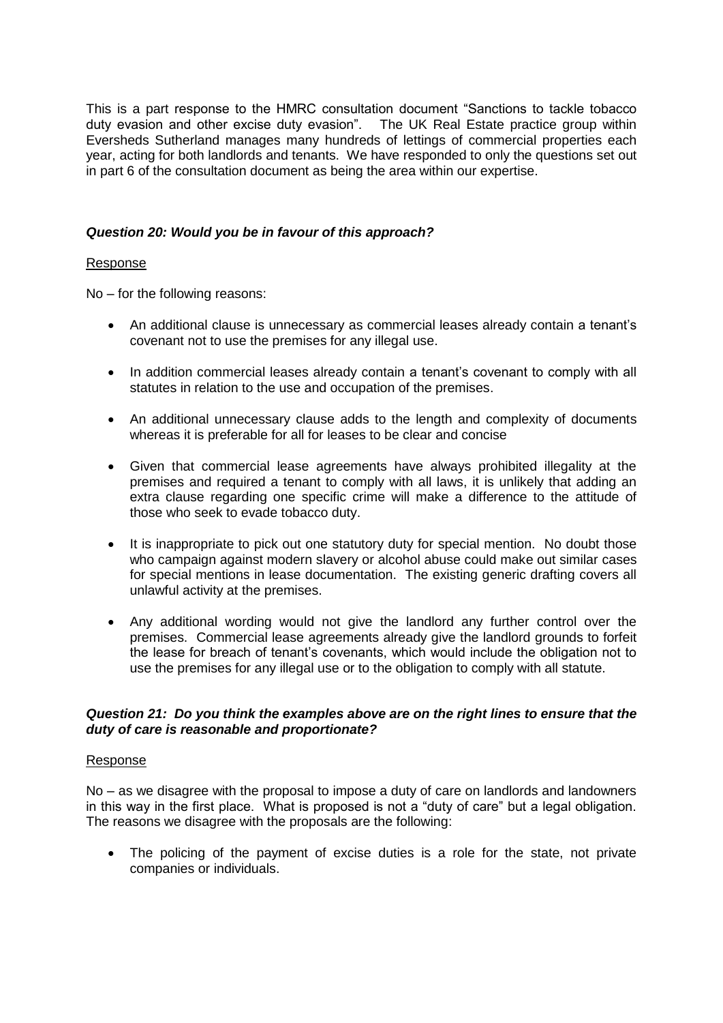This is a part response to the HMRC consultation document "Sanctions to tackle tobacco duty evasion and other excise duty evasion". The UK Real Estate practice group within Eversheds Sutherland manages many hundreds of lettings of commercial properties each year, acting for both landlords and tenants. We have responded to only the questions set out in part 6 of the consultation document as being the area within our expertise.

### *Question 20: Would you be in favour of this approach?*

### Response

No – for the following reasons:

- An additional clause is unnecessary as commercial leases already contain a tenant's covenant not to use the premises for any illegal use.
- In addition commercial leases already contain a tenant's covenant to comply with all statutes in relation to the use and occupation of the premises.
- An additional unnecessary clause adds to the length and complexity of documents whereas it is preferable for all for leases to be clear and concise
- Given that commercial lease agreements have always prohibited illegality at the premises and required a tenant to comply with all laws, it is unlikely that adding an extra clause regarding one specific crime will make a difference to the attitude of those who seek to evade tobacco duty.
- It is inappropriate to pick out one statutory duty for special mention. No doubt those who campaign against modern slavery or alcohol abuse could make out similar cases for special mentions in lease documentation. The existing generic drafting covers all unlawful activity at the premises.
- Any additional wording would not give the landlord any further control over the premises. Commercial lease agreements already give the landlord grounds to forfeit the lease for breach of tenant's covenants, which would include the obligation not to use the premises for any illegal use or to the obligation to comply with all statute.

### *Question 21: Do you think the examples above are on the right lines to ensure that the duty of care is reasonable and proportionate?*

#### Response

No – as we disagree with the proposal to impose a duty of care on landlords and landowners in this way in the first place. What is proposed is not a "duty of care" but a legal obligation. The reasons we disagree with the proposals are the following:

 The policing of the payment of excise duties is a role for the state, not private companies or individuals.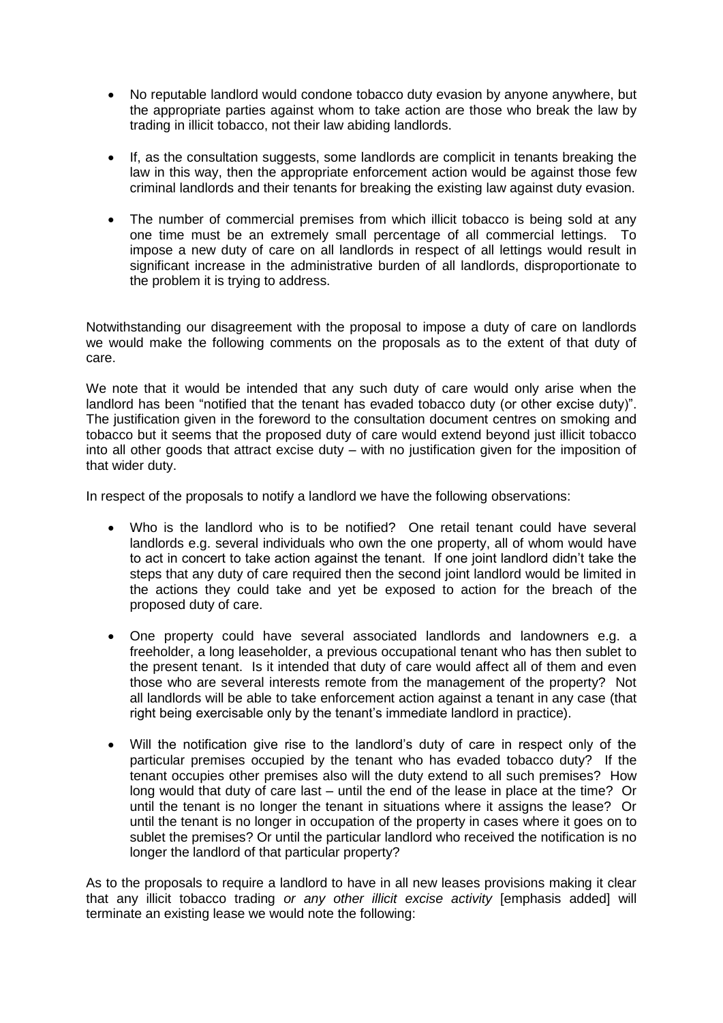- No reputable landlord would condone tobacco duty evasion by anyone anywhere, but the appropriate parties against whom to take action are those who break the law by trading in illicit tobacco, not their law abiding landlords.
- If, as the consultation suggests, some landlords are complicit in tenants breaking the law in this way, then the appropriate enforcement action would be against those few criminal landlords and their tenants for breaking the existing law against duty evasion.
- The number of commercial premises from which illicit tobacco is being sold at any one time must be an extremely small percentage of all commercial lettings. To impose a new duty of care on all landlords in respect of all lettings would result in significant increase in the administrative burden of all landlords, disproportionate to the problem it is trying to address.

Notwithstanding our disagreement with the proposal to impose a duty of care on landlords we would make the following comments on the proposals as to the extent of that duty of care.

We note that it would be intended that any such duty of care would only arise when the landlord has been "notified that the tenant has evaded tobacco duty (or other excise duty)". The justification given in the foreword to the consultation document centres on smoking and tobacco but it seems that the proposed duty of care would extend beyond just illicit tobacco into all other goods that attract excise duty – with no justification given for the imposition of that wider duty.

In respect of the proposals to notify a landlord we have the following observations:

- Who is the landlord who is to be notified? One retail tenant could have several landlords e.g. several individuals who own the one property, all of whom would have to act in concert to take action against the tenant. If one joint landlord didn't take the steps that any duty of care required then the second joint landlord would be limited in the actions they could take and yet be exposed to action for the breach of the proposed duty of care.
- One property could have several associated landlords and landowners e.g. a freeholder, a long leaseholder, a previous occupational tenant who has then sublet to the present tenant. Is it intended that duty of care would affect all of them and even those who are several interests remote from the management of the property? Not all landlords will be able to take enforcement action against a tenant in any case (that right being exercisable only by the tenant's immediate landlord in practice).
- Will the notification give rise to the landlord's duty of care in respect only of the particular premises occupied by the tenant who has evaded tobacco duty? If the tenant occupies other premises also will the duty extend to all such premises? How long would that duty of care last – until the end of the lease in place at the time? Or until the tenant is no longer the tenant in situations where it assigns the lease? Or until the tenant is no longer in occupation of the property in cases where it goes on to sublet the premises? Or until the particular landlord who received the notification is no longer the landlord of that particular property?

As to the proposals to require a landlord to have in all new leases provisions making it clear that any illicit tobacco trading *or any other illicit excise activity* [emphasis added] will terminate an existing lease we would note the following: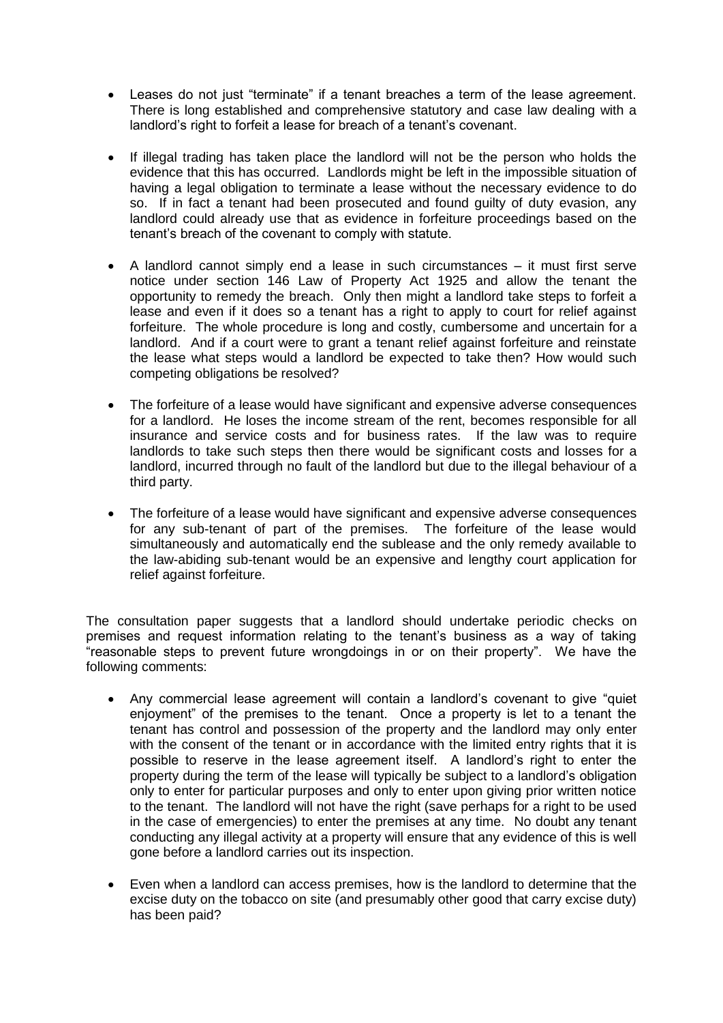- Leases do not just "terminate" if a tenant breaches a term of the lease agreement. There is long established and comprehensive statutory and case law dealing with a landlord's right to forfeit a lease for breach of a tenant's covenant.
- If illegal trading has taken place the landlord will not be the person who holds the evidence that this has occurred. Landlords might be left in the impossible situation of having a legal obligation to terminate a lease without the necessary evidence to do so. If in fact a tenant had been prosecuted and found guilty of duty evasion, any landlord could already use that as evidence in forfeiture proceedings based on the tenant's breach of the covenant to comply with statute.
- A landlord cannot simply end a lease in such circumstances it must first serve notice under section 146 Law of Property Act 1925 and allow the tenant the opportunity to remedy the breach. Only then might a landlord take steps to forfeit a lease and even if it does so a tenant has a right to apply to court for relief against forfeiture. The whole procedure is long and costly, cumbersome and uncertain for a landlord. And if a court were to grant a tenant relief against forfeiture and reinstate the lease what steps would a landlord be expected to take then? How would such competing obligations be resolved?
- The forfeiture of a lease would have significant and expensive adverse consequences for a landlord. He loses the income stream of the rent, becomes responsible for all insurance and service costs and for business rates. If the law was to require landlords to take such steps then there would be significant costs and losses for a landlord, incurred through no fault of the landlord but due to the illegal behaviour of a third party.
- The forfeiture of a lease would have significant and expensive adverse consequences for any sub-tenant of part of the premises. The forfeiture of the lease would simultaneously and automatically end the sublease and the only remedy available to the law-abiding sub-tenant would be an expensive and lengthy court application for relief against forfeiture.

The consultation paper suggests that a landlord should undertake periodic checks on premises and request information relating to the tenant's business as a way of taking "reasonable steps to prevent future wrongdoings in or on their property". We have the following comments:

- Any commercial lease agreement will contain a landlord's covenant to give "quiet enjoyment" of the premises to the tenant. Once a property is let to a tenant the tenant has control and possession of the property and the landlord may only enter with the consent of the tenant or in accordance with the limited entry rights that it is possible to reserve in the lease agreement itself. A landlord's right to enter the property during the term of the lease will typically be subject to a landlord's obligation only to enter for particular purposes and only to enter upon giving prior written notice to the tenant. The landlord will not have the right (save perhaps for a right to be used in the case of emergencies) to enter the premises at any time. No doubt any tenant conducting any illegal activity at a property will ensure that any evidence of this is well gone before a landlord carries out its inspection.
- Even when a landlord can access premises, how is the landlord to determine that the excise duty on the tobacco on site (and presumably other good that carry excise duty) has been paid?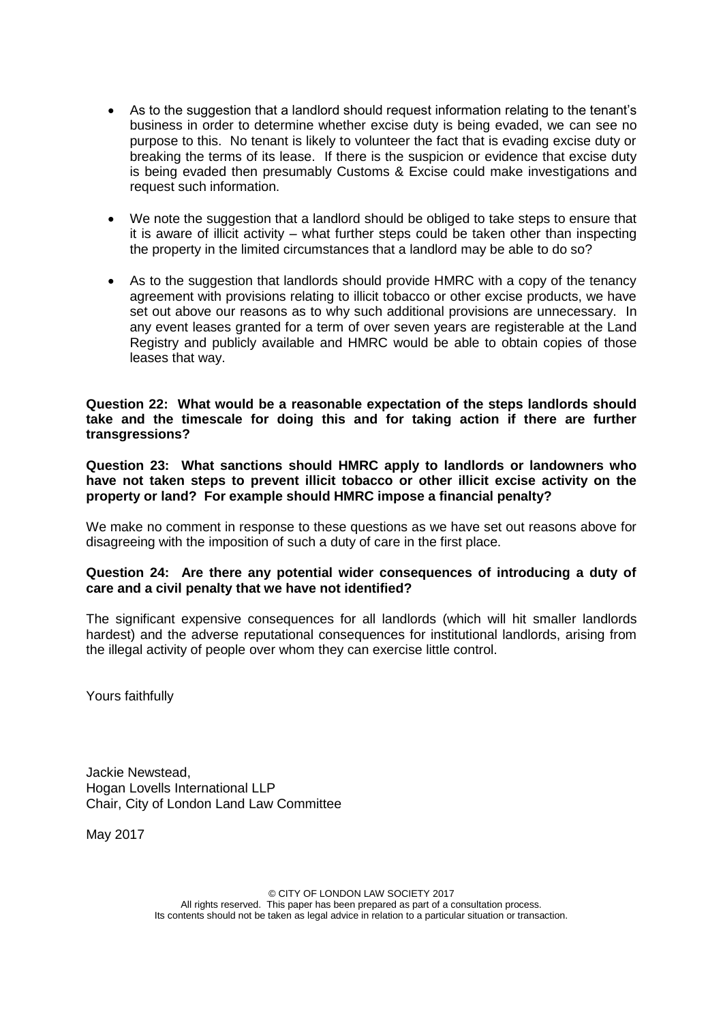- As to the suggestion that a landlord should request information relating to the tenant's business in order to determine whether excise duty is being evaded, we can see no purpose to this. No tenant is likely to volunteer the fact that is evading excise duty or breaking the terms of its lease. If there is the suspicion or evidence that excise duty is being evaded then presumably Customs & Excise could make investigations and request such information.
- We note the suggestion that a landlord should be obliged to take steps to ensure that it is aware of illicit activity – what further steps could be taken other than inspecting the property in the limited circumstances that a landlord may be able to do so?
- As to the suggestion that landlords should provide HMRC with a copy of the tenancy agreement with provisions relating to illicit tobacco or other excise products, we have set out above our reasons as to why such additional provisions are unnecessary. In any event leases granted for a term of over seven years are registerable at the Land Registry and publicly available and HMRC would be able to obtain copies of those leases that way.

**Question 22: What would be a reasonable expectation of the steps landlords should take and the timescale for doing this and for taking action if there are further transgressions?**

**Question 23: What sanctions should HMRC apply to landlords or landowners who have not taken steps to prevent illicit tobacco or other illicit excise activity on the property or land? For example should HMRC impose a financial penalty?**

We make no comment in response to these questions as we have set out reasons above for disagreeing with the imposition of such a duty of care in the first place.

#### **Question 24: Are there any potential wider consequences of introducing a duty of care and a civil penalty that we have not identified?**

The significant expensive consequences for all landlords (which will hit smaller landlords hardest) and the adverse reputational consequences for institutional landlords, arising from the illegal activity of people over whom they can exercise little control.

Yours faithfully

Jackie Newstead, Hogan Lovells International LLP Chair, City of London Land Law Committee

May 2017